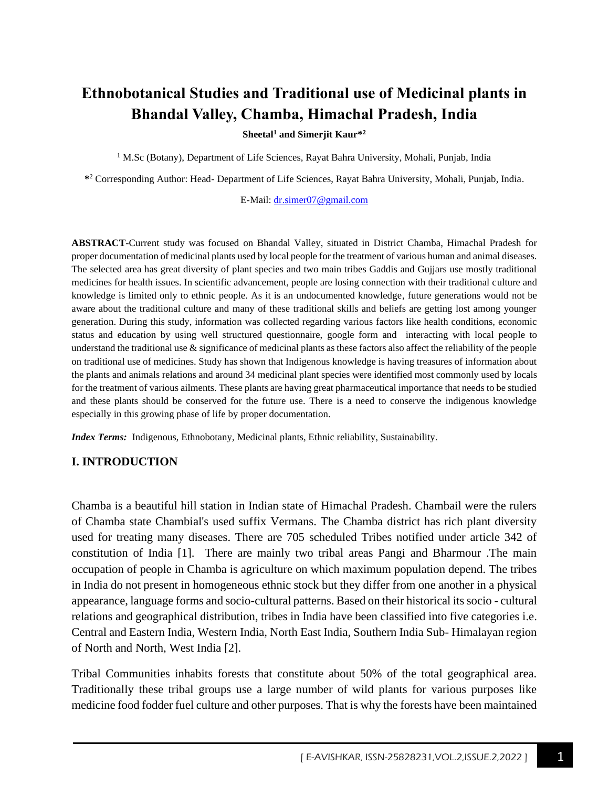# **Ethnobotanical Studies and Traditional use of Medicinal plants in Bhandal Valley, Chamba, Himachal Pradesh, India**

**Sheetal<sup>1</sup> and Simerjit Kaur\*<sup>2</sup>**

<sup>1</sup> M.Sc (Botany), Department of Life Sciences, Rayat Bahra University, Mohali, Punjab, India

**\*** <sup>2</sup> Corresponding Author: Head- Department of Life Sciences, Rayat Bahra University, Mohali, Punjab, India.

E-Mail: [dr.simer07@gmail.com](mailto:dr.simer07@gmail.com)

**ABSTRACT**-Current study was focused on Bhandal Valley, situated in District Chamba, Himachal Pradesh for proper documentation of medicinal plants used by local people for the treatment of various human and animal diseases. The selected area has great diversity of plant species and two main tribes Gaddis and Gujjars use mostly traditional medicines for health issues. In scientific advancement, people are losing connection with their traditional culture and knowledge is limited only to ethnic people. As it is an undocumented knowledge, future generations would not be aware about the traditional culture and many of these traditional skills and beliefs are getting lost among younger generation. During this study, information was collected regarding various factors like health conditions, economic status and education by using well structured questionnaire, google form and interacting with local people to understand the traditional use  $\&$  significance of medicinal plants as these factors also affect the reliability of the people on traditional use of medicines. Study has shown that Indigenous knowledge is having treasures of information about the plants and animals relations and around 34 medicinal plant species were identified most commonly used by locals for the treatment of various ailments. These plants are having great pharmaceutical importance that needs to be studied and these plants should be conserved for the future use. There is a need to conserve the indigenous knowledge especially in this growing phase of life by proper documentation.

*Index Terms:* Indigenous, Ethnobotany, Medicinal plants, Ethnic reliability, Sustainability.

#### **I. INTRODUCTION**

Chamba is a beautiful hill station in Indian state of Himachal Pradesh. Chambail were the rulers of Chamba state Chambial's used suffix Vermans. The Chamba district has rich plant diversity used for treating many diseases. There are 705 scheduled Tribes notified under article 342 of constitution of India [1]. There are mainly two tribal areas Pangi and Bharmour .The main occupation of people in Chamba is agriculture on which maximum population depend. The tribes in India do not present in homogeneous ethnic stock but they differ from one another in a physical appearance, language forms and socio-cultural patterns. Based on their historical its socio - cultural relations and geographical distribution, tribes in India have been classified into five categories i.e. Central and Eastern India, Western India, North East India, Southern India Sub- Himalayan region of North and North, West India [2].

Tribal Communities inhabits forests that constitute about 50% of the total geographical area. Traditionally these tribal groups use a large number of wild plants for various purposes like medicine food fodder fuel culture and other purposes. That is why the forests have been maintained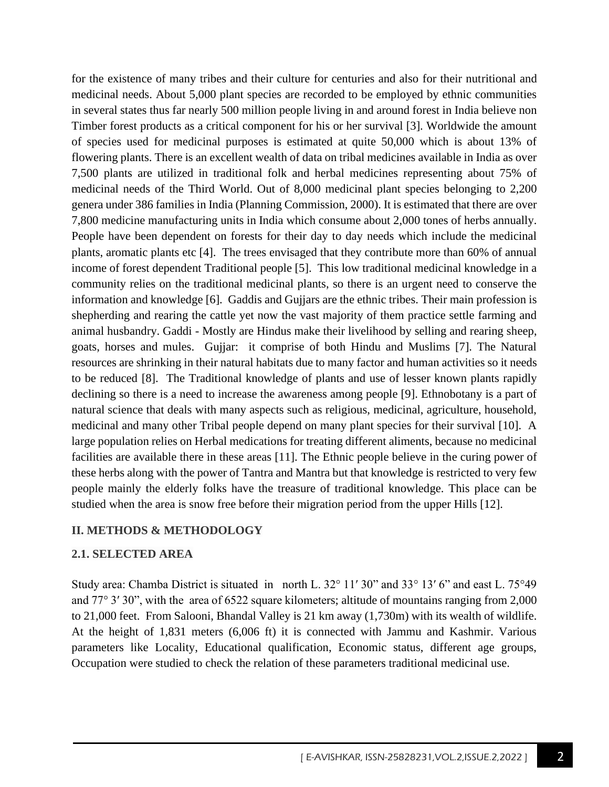for the existence of many tribes and their culture for centuries and also for their nutritional and medicinal needs. About 5,000 plant species are recorded to be employed by ethnic communities in several states thus far nearly 500 million people living in and around forest in India believe non Timber forest products as a critical component for his or her survival [3]. Worldwide the amount of species used for medicinal purposes is estimated at quite 50,000 which is about 13% of flowering plants. There is an excellent wealth of data on tribal medicines available in India as over 7,500 plants are utilized in traditional folk and herbal medicines representing about 75% of medicinal needs of the Third World. Out of 8,000 medicinal plant species belonging to 2,200 genera under 386 families in India (Planning Commission, 2000). It is estimated that there are over 7,800 medicine manufacturing units in India which consume about 2,000 tones of herbs annually. People have been dependent on forests for their day to day needs which include the medicinal plants, aromatic plants etc [4]. The trees envisaged that they contribute more than 60% of annual income of forest dependent Traditional people [5]. This low traditional medicinal knowledge in a community relies on the traditional medicinal plants, so there is an urgent need to conserve the information and knowledge [6]. Gaddis and Gujjars are the ethnic tribes. Their main profession is shepherding and rearing the cattle yet now the vast majority of them practice settle farming and animal husbandry. Gaddi - Mostly are Hindus make their livelihood by selling and rearing sheep, goats, horses and mules. Gujjar: it comprise of both Hindu and Muslims [7]. The Natural resources are shrinking in their natural habitats due to many factor and human activities so it needs to be reduced [8]. The Traditional knowledge of plants and use of lesser known plants rapidly declining so there is a need to increase the awareness among people [9]. Ethnobotany is a part of natural science that deals with many aspects such as religious, medicinal, agriculture, household, medicinal and many other Tribal people depend on many plant species for their survival [10]. A large population relies on Herbal medications for treating different aliments, because no medicinal facilities are available there in these areas [11]. The Ethnic people believe in the curing power of these herbs along with the power of Tantra and Mantra but that knowledge is restricted to very few people mainly the elderly folks have the treasure of traditional knowledge. This place can be studied when the area is snow free before their migration period from the upper Hills [12].

#### **II. METHODS & METHODOLOGY**

#### **2.1. SELECTED AREA**

Study area: Chamba District is situated in north L. 32° 11′ 30" and 33° 13′ 6" and east L. 75°49 and 77° 3′ 30", with the area of 6522 square kilometers; altitude of mountains ranging from 2,000 to 21,000 feet. From Salooni, Bhandal Valley is 21 km away (1,730m) with its wealth of wildlife. At the height of 1,831 meters (6,006 ft) it is connected with Jammu and Kashmir. Various parameters like Locality, Educational qualification, Economic status, different age groups, Occupation were studied to check the relation of these parameters traditional medicinal use.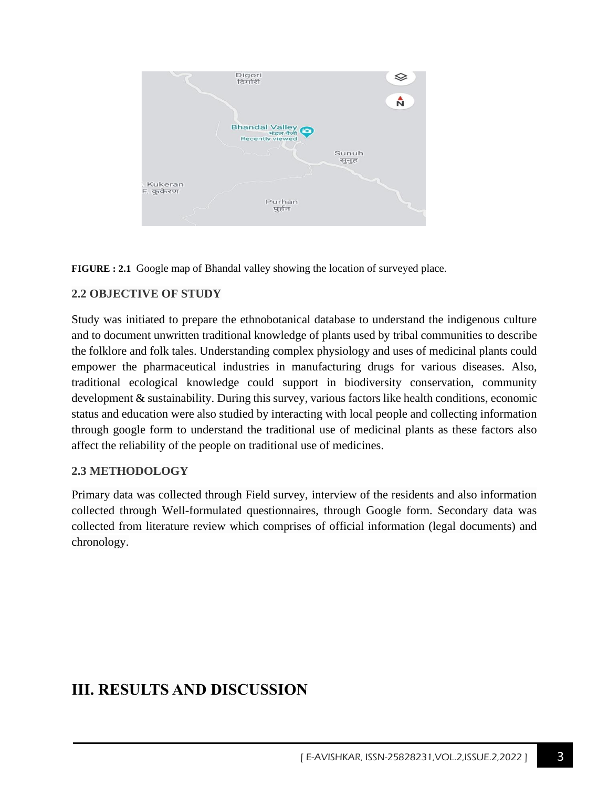



#### **2.2 OBJECTIVE OF STUDY**

Study was initiated to prepare the ethnobotanical database to understand the indigenous culture and to document unwritten traditional knowledge of plants used by tribal communities to describe the folklore and folk tales. Understanding complex physiology and uses of medicinal plants could empower the pharmaceutical industries in manufacturing drugs for various diseases. Also, traditional ecological knowledge could support in biodiversity conservation, community development & sustainability. During this survey, various factors like health conditions, economic status and education were also studied by interacting with local people and collecting information through google form to understand the traditional use of medicinal plants as these factors also affect the reliability of the people on traditional use of medicines.

#### **2.3 METHODOLOGY**

Primary data was collected through Field survey, interview of the residents and also information collected through Well-formulated questionnaires, through Google form. Secondary data was collected from literature review which comprises of official information (legal documents) and chronology.

## **III. RESULTS AND DISCUSSION**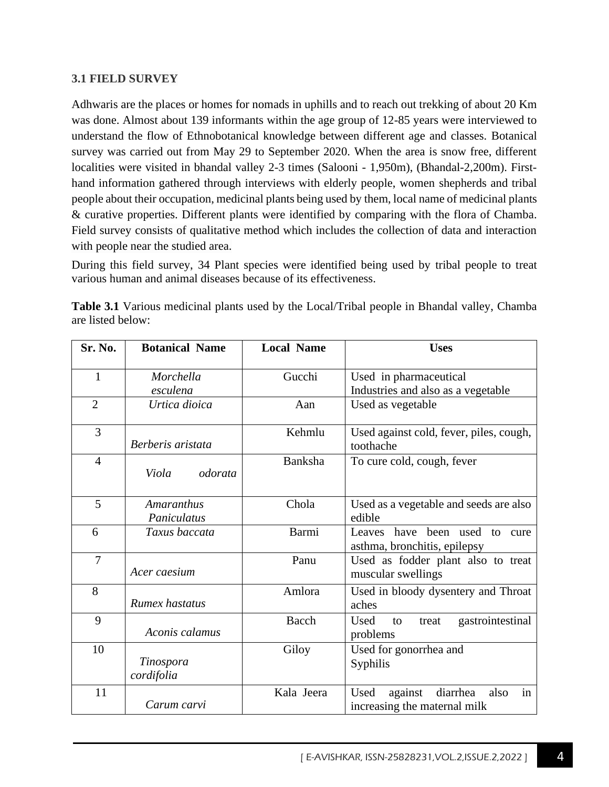#### **3.1 FIELD SURVEY**

Adhwaris are the places or homes for nomads in uphills and to reach out trekking of about 20 Km was done. Almost about 139 informants within the age group of 12-85 years were interviewed to understand the flow of Ethnobotanical knowledge between different age and classes. Botanical survey was carried out from May 29 to September 2020. When the area is snow free, different localities were visited in bhandal valley 2-3 times (Salooni - 1,950m), (Bhandal-2,200m). Firsthand information gathered through interviews with elderly people, women shepherds and tribal people about their occupation, medicinal plants being used by them, local name of medicinal plants & curative properties. Different plants were identified by comparing with the flora of Chamba. Field survey consists of qualitative method which includes the collection of data and interaction with people near the studied area.

During this field survey, 34 Plant species were identified being used by tribal people to treat various human and animal diseases because of its effectiveness.

| Sr. No.        | <b>Botanical Name</b>     | <b>Local Name</b> | <b>Uses</b>                                                               |
|----------------|---------------------------|-------------------|---------------------------------------------------------------------------|
| $\mathbf{1}$   | Morchella                 | Gucchi            | Used in pharmaceutical                                                    |
|                | esculena                  |                   | Industries and also as a vegetable                                        |
| $\overline{2}$ | Urtica dioica             | Aan               | Used as vegetable                                                         |
| 3              | Berberis aristata         | Kehmlu            | Used against cold, fever, piles, cough,<br>toothache                      |
| $\overline{4}$ | Viola<br>odorata          | Banksha           | To cure cold, cough, fever                                                |
| 5              | Amaranthus<br>Paniculatus | Chola             | Used as a vegetable and seeds are also<br>edible                          |
| 6              | Taxus baccata             | Barmi             | Leaves<br>been used to<br>have<br>cure<br>asthma, bronchitis, epilepsy    |
| $\overline{7}$ | Acer caesium              | Panu              | Used as fodder plant also to treat<br>muscular swellings                  |
| 8              | Rumex hastatus            | Amlora            | Used in bloody dysentery and Throat<br>aches                              |
| 9              | Aconis calamus            | <b>Bacch</b>      | gastrointestinal<br>Used<br>to<br>treat<br>problems                       |
| 10             | Tinospora<br>cordifolia   | Giloy             | Used for gonorrhea and<br>Syphilis                                        |
| 11             | Carum carvi               | Kala Jeera        | in<br>diarrhea<br>Used<br>against<br>also<br>increasing the maternal milk |

**Table 3.1** Various medicinal plants used by the Local/Tribal people in Bhandal valley, Chamba are listed below: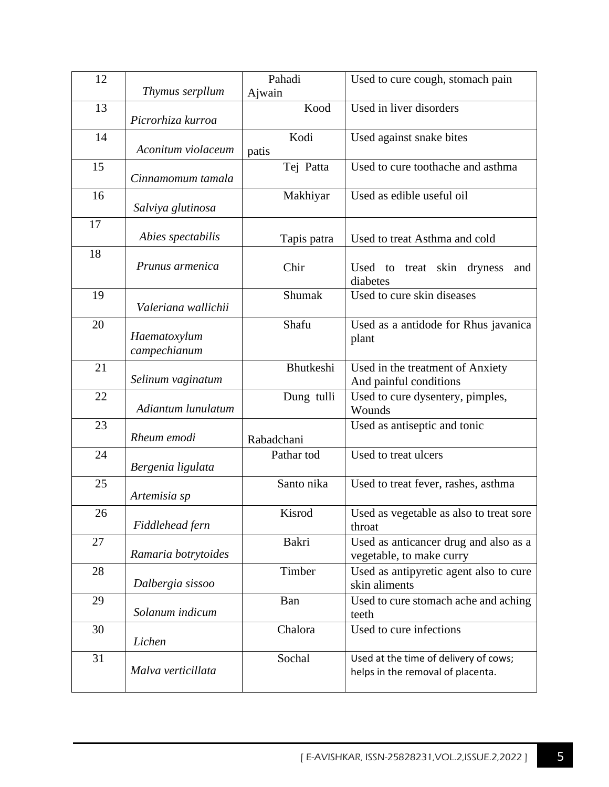| 12 |                              | Pahadi        | Used to cure cough, stomach pain                                           |
|----|------------------------------|---------------|----------------------------------------------------------------------------|
|    | Thymus serpllum              | Ajwain        |                                                                            |
| 13 | Picrorhiza kurroa            | Kood          | Used in liver disorders                                                    |
| 14 | Aconitum violaceum           | Kodi<br>patis | Used against snake bites                                                   |
| 15 | Cinnamomum tamala            | Tej Patta     | Used to cure toothache and asthma                                          |
| 16 | Salviya glutinosa            | Makhiyar      | Used as edible useful oil                                                  |
| 17 | Abies spectabilis            | Tapis patra   | Used to treat Asthma and cold                                              |
| 18 | Prunus armenica              | Chir          | Used to treat skin dryness<br>and<br>diabetes                              |
| 19 | Valeriana wallichii          | Shumak        | Used to cure skin diseases                                                 |
| 20 | Haematoxylum<br>campechianum | Shafu         | Used as a antidode for Rhus javanica<br>plant                              |
| 21 | Selinum vaginatum            | Bhutkeshi     | Used in the treatment of Anxiety<br>And painful conditions                 |
| 22 | Adiantum lunulatum           | Dung tulli    | Used to cure dysentery, pimples,<br>Wounds                                 |
| 23 | Rheum emodi                  | Rabadchani    | Used as antiseptic and tonic                                               |
| 24 | Bergenia ligulata            | Pathar tod    | Used to treat ulcers                                                       |
| 25 | Artemisia sp                 | Santo nika    | Used to treat fever, rashes, asthma                                        |
| 26 | Fiddlehead fern              | Kisrod        | Used as vegetable as also to treat sore<br>throat                          |
| 27 | Ramaria botrytoides          | Bakri         | Used as anticancer drug and also as a<br>vegetable, to make curry          |
| 28 | Dalbergia sissoo             | Timber        | Used as antipyretic agent also to cure<br>skin aliments                    |
| 29 | Solanum indicum              | Ban           | Used to cure stomach ache and aching<br>teeth                              |
| 30 | Lichen                       | Chalora       | Used to cure infections                                                    |
| 31 | Malva verticillata           | Sochal        | Used at the time of delivery of cows;<br>helps in the removal of placenta. |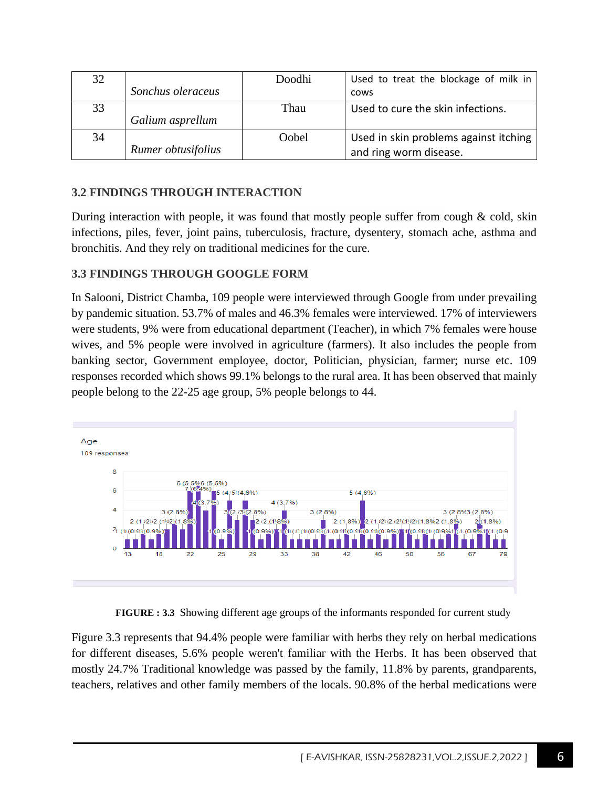| 32 |                    | Doodhi | Used to treat the blockage of milk in |
|----|--------------------|--------|---------------------------------------|
|    | Sonchus oleraceus  |        | cows                                  |
| 33 |                    | Thau   | Used to cure the skin infections.     |
|    | Galium asprellum   |        |                                       |
| 34 |                    | Oobel  | Used in skin problems against itching |
|    | Rumer obtusifolius |        | and ring worm disease.                |

### **3.2 FINDINGS THROUGH INTERACTION**

During interaction with people, it was found that mostly people suffer from cough  $\&$  cold, skin infections, piles, fever, joint pains, tuberculosis, fracture, dysentery, stomach ache, asthma and bronchitis. And they rely on traditional medicines for the cure.

#### **3.3 FINDINGS THROUGH GOOGLE FORM**

In Salooni, District Chamba, 109 people were interviewed through Google from under prevailing by pandemic situation. 53.7% of males and 46.3% females were interviewed. 17% of interviewers were students, 9% were from educational department (Teacher), in which 7% females were house wives, and 5% people were involved in agriculture (farmers). It also includes the people from banking sector, Government employee, doctor, Politician, physician, farmer; nurse etc. 109 responses recorded which shows 99.1% belongs to the rural area. It has been observed that mainly people belong to the 22-25 age group, 5% people belongs to 44.



**FIGURE : 3.3** Showing different age groups of the informants responded for current study

Figure 3.3 represents that 94.4% people were familiar with herbs they rely on herbal medications for different diseases, 5.6% people weren't familiar with the Herbs. It has been observed that mostly 24.7% Traditional knowledge was passed by the family, 11.8% by parents, grandparents, teachers, relatives and other family members of the locals. 90.8% of the herbal medications were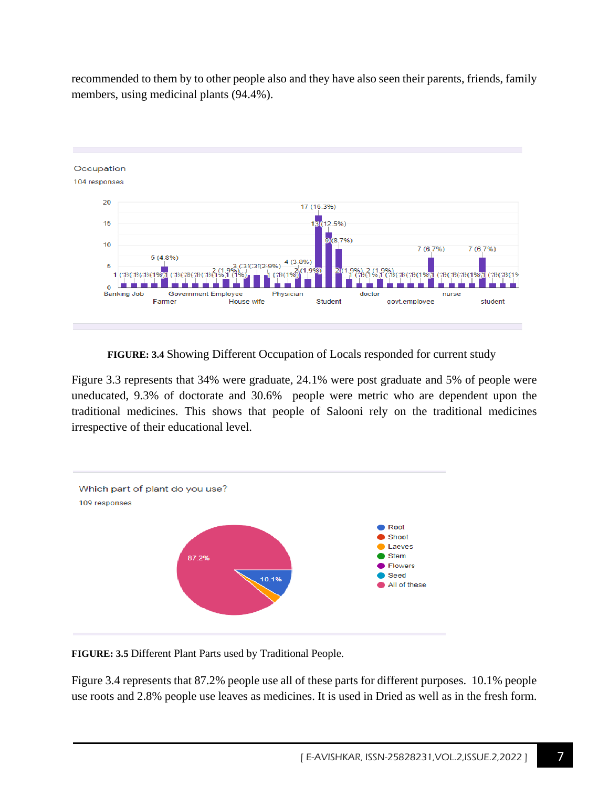recommended to them by to other people also and they have also seen their parents, friends, family members, using medicinal plants (94.4%).



**FIGURE: 3.4** Showing Different Occupation of Locals responded for current study

Figure 3.3 represents that 34% were graduate, 24.1% were post graduate and 5% of people were uneducated, 9.3% of doctorate and 30.6% people were metric who are dependent upon the traditional medicines. This shows that people of Salooni rely on the traditional medicines irrespective of their educational level.



**FIGURE: 3.5** Different Plant Parts used by Traditional People.

Figure 3.4 represents that 87.2% people use all of these parts for different purposes. 10.1% people use roots and 2.8% people use leaves as medicines. It is used in Dried as well as in the fresh form.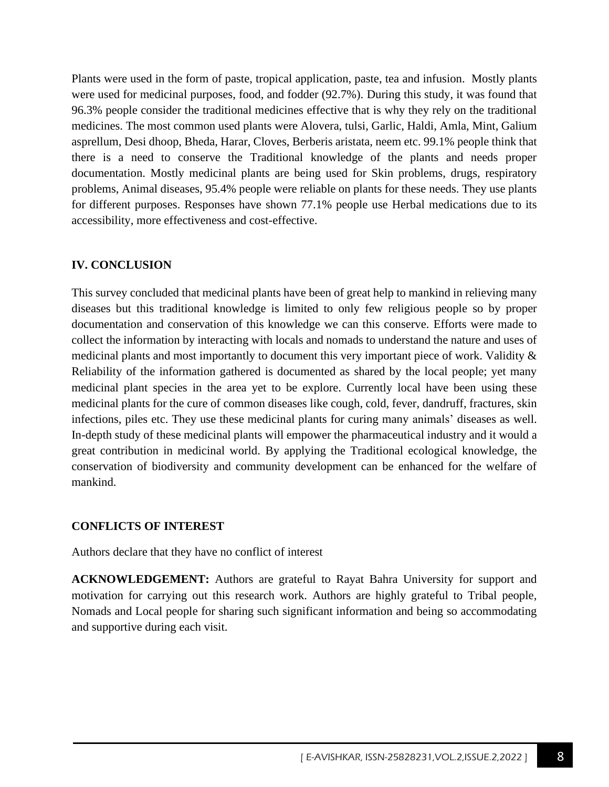Plants were used in the form of paste, tropical application, paste, tea and infusion. Mostly plants were used for medicinal purposes, food, and fodder (92.7%). During this study, it was found that 96.3% people consider the traditional medicines effective that is why they rely on the traditional medicines. The most common used plants were Alovera, tulsi, Garlic, Haldi, Amla, Mint, Galium asprellum, Desi dhoop, Bheda, Harar, Cloves, Berberis aristata, neem etc. 99.1% people think that there is a need to conserve the Traditional knowledge of the plants and needs proper documentation. Mostly medicinal plants are being used for Skin problems, drugs, respiratory problems, Animal diseases, 95.4% people were reliable on plants for these needs. They use plants for different purposes. Responses have shown 77.1% people use Herbal medications due to its accessibility, more effectiveness and cost-effective.

### **IV. CONCLUSION**

This survey concluded that medicinal plants have been of great help to mankind in relieving many diseases but this traditional knowledge is limited to only few religious people so by proper documentation and conservation of this knowledge we can this conserve. Efforts were made to collect the information by interacting with locals and nomads to understand the nature and uses of medicinal plants and most importantly to document this very important piece of work. Validity & Reliability of the information gathered is documented as shared by the local people; yet many medicinal plant species in the area yet to be explore. Currently local have been using these medicinal plants for the cure of common diseases like cough, cold, fever, dandruff, fractures, skin infections, piles etc. They use these medicinal plants for curing many animals' diseases as well. In-depth study of these medicinal plants will empower the pharmaceutical industry and it would a great contribution in medicinal world. By applying the Traditional ecological knowledge, the conservation of biodiversity and community development can be enhanced for the welfare of mankind.

#### **CONFLICTS OF INTEREST**

Authors declare that they have no conflict of interest

**ACKNOWLEDGEMENT:** Authors are grateful to Rayat Bahra University for support and motivation for carrying out this research work. Authors are highly grateful to Tribal people, Nomads and Local people for sharing such significant information and being so accommodating and supportive during each visit.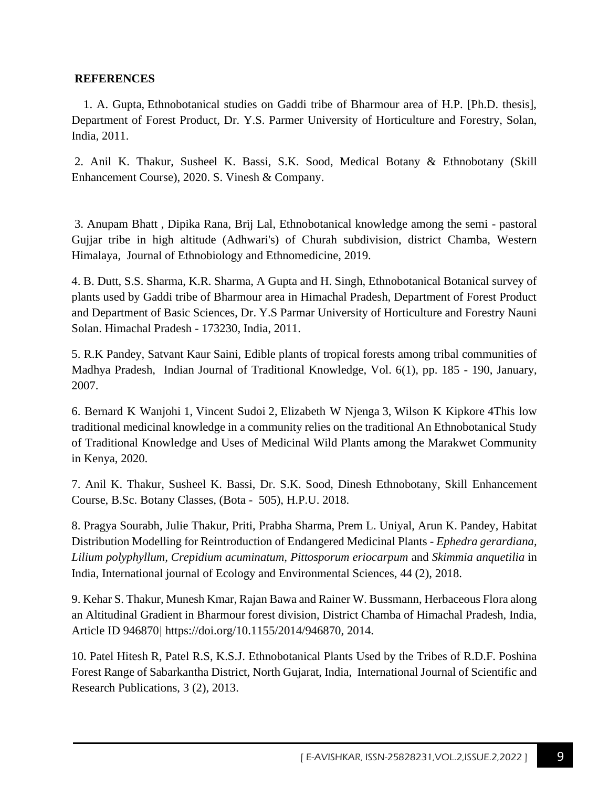#### **REFERENCES**

 1. A. Gupta, Ethnobotanical studies on Gaddi tribe of Bharmour area of H.P. [Ph.D. thesis], Department of Forest Product, Dr. Y.S. Parmer University of Horticulture and Forestry, Solan, India, 2011.

2. Anil K. Thakur, Susheel K. Bassi, S.K. Sood, Medical Botany & Ethnobotany (Skill Enhancement Course), 2020. S. Vinesh & Company.

3. Anupam Bhatt , Dipika Rana, Brij Lal, Ethnobotanical knowledge among the semi - pastoral Gujjar tribe in high altitude (Adhwari's) of Churah subdivision, district Chamba, Western Himalaya, Journal of Ethnobiology and Ethnomedicine, 2019.

4. B. Dutt, S.S. Sharma, K.R. Sharma, A Gupta and H. Singh, Ethnobotanical Botanical survey of plants used by Gaddi tribe of Bharmour area in Himachal Pradesh, Department of Forest Product and Department of Basic Sciences, Dr. Y.S Parmar University of Horticulture and Forestry Nauni Solan. Himachal Pradesh - 173230, India, 2011.

5. R.K Pandey, Satvant Kaur Saini, Edible plants of tropical forests among tribal communities of Madhya Pradesh, Indian Journal of Traditional Knowledge, Vol. 6(1), pp. 185 - 190, January, 2007.

6. [Bernard K Wanjohi](https://pubmed.ncbi.nlm.nih.gov/?term=Wanjohi+BK&cauthor_id=32308704) [1,](https://pubmed.ncbi.nlm.nih.gov/32308704/#affiliation-1) [Vincent Sudoi](https://pubmed.ncbi.nlm.nih.gov/?term=Sudoi+V&cauthor_id=32308704) [2,](https://pubmed.ncbi.nlm.nih.gov/32308704/#affiliation-2) [Elizabeth W Njenga](https://pubmed.ncbi.nlm.nih.gov/?term=Njenga+EW&cauthor_id=32308704) [3,](https://pubmed.ncbi.nlm.nih.gov/32308704/#affiliation-3) [Wilson K Kipkore](https://pubmed.ncbi.nlm.nih.gov/?term=Kipkore+WK&cauthor_id=32308704) [4T](https://pubmed.ncbi.nlm.nih.gov/32308704/#affiliation-4)his low traditional medicinal knowledge in a community relies on the traditional An Ethnobotanical Study of Traditional Knowledge and Uses of Medicinal Wild Plants among the Marakwet Community in Kenya, 2020.

7. Anil K. Thakur, Susheel K. Bassi, Dr. S.K. Sood, Dinesh Ethnobotany, Skill Enhancement Course, B.Sc. Botany Classes, (Bota - 505), H.P.U. 2018.

8. Pragya Sourabh, Julie Thakur, Priti, Prabha Sharma, Prem L. Uniyal, Arun K. Pandey, Habitat Distribution Modelling for Reintroduction of Endangered Medicinal Plants - *Ephedra gerardiana, Lilium polyphyllum, Crepidium acuminatum, Pittosporum eriocarpum* and *Skimmia anquetilia* in India, International journal of Ecology and Environmental Sciences, 44 (2), 2018.

9. Kehar S. Thakur, Munesh Kmar, Rajan Bawa and Rainer W. Bussmann, Herbaceous Flora along an Altitudinal Gradient in Bharmour forest division, District Chamba of Himachal Pradesh, India, Article ID 946870*|* [https://doi.org/10.1155/2014/946870,](https://doi.org/10.1155/2014/946870) 2014.

10. Patel Hitesh R, Patel R.S, K.S.J. Ethnobotanical Plants Used by the Tribes of R.D.F. Poshina Forest Range of Sabarkantha District, North Gujarat, India, International Journal of Scientific and Research Publications, 3 (2), 2013.